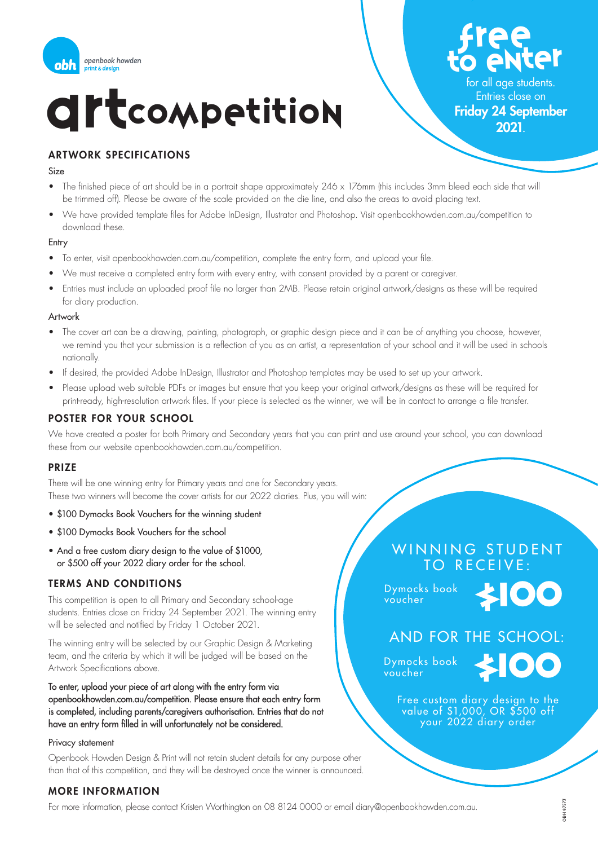

## **CILCOMPETITION**

Free to enter

for all age students. Entries close on

#### ARTWORK SPECIFICATIONS

#### Size

- The finished piece of art should be in a portrait shape approximately 246 x 176mm (this includes 3mm bleed each side that will be trimmed off). Please be aware of the scale provided on the die line, and also the areas to avoid placing text.
- We have provided template files for Adobe InDesign, Illustrator and Photoshop. Visit openbookhowden.com.au/competition to download these.

#### Entry

- To enter, visit openbookhowden.com.au/competition, complete the entry form, and upload your file.
- We must receive a completed entry form with every entry, with consent provided by a parent or caregiver.
- Entries must include an uploaded proof file no larger than 2MB. Please retain original artwork/designs as these will be required for diary production.

#### Artwork

- The cover art can be a drawing, painting, photograph, or graphic design piece and it can be of anything you choose, however, we remind you that your submission is a reflection of you as an artist, a representation of your school and it will be used in schools nationally.
- If desired, the provided Adobe InDesign, Illustrator and Photoshop templates may be used to set up your artwork.
- Please upload web suitable PDFs or images but ensure that you keep your original artwork/designs as these will be required for print-ready, high-resolution artwork files. If your piece is selected as the winner, we will be in contact to arrange a file transfer.

#### POSTER FOR YOUR SCHOOL

We have created a poster for both Primary and Secondary years that you can print and use around your school, you can download these from our website openbookhowden.com.au/competition.

#### PRIZE

There will be one winning entry for Primary years and one for Secondary years. These two winners will become the cover artists for our 2022 diaries. Plus, you will win:

- \$100 Dymocks Book Vouchers for the winning student
- \$100 Dymocks Book Vouchers for the school
- And a free custom diary design to the value of \$1000. or \$500 off your 2022 diary order for the school.

#### TERMS AND CONDITIONS

This competition is open to all Primary and Secondary school-age students. Entries close on Friday 24 September 2021. The winning entry will be selected and notified by Friday 1 October 2021.

The winning entry will be selected by our Graphic Design & Marketing team, and the criteria by which it will be judged will be based on the Artwork Specifications above.

To enter, upload your piece of art along with the entry form via openbookhowden.com.au/competition. Please ensure that each entry form is completed, including parents/caregivers authorisation. Entries that do not have an entry form filled in will unfortunately not be considered.

#### Privacy statement

Openbook Howden Design & Print will not retain student details for any purpose other than that of this competition, and they will be destroyed once the winner is announced.

#### MORE INFORMATION

For more information, please contact Kristen Worthington on 08 8124 0000 or email diary@openbookhowden.com.au.

## WINNING STUDENT TO RECEIVE:

Dymocks book voucher



### AND FOR THE SCHOOL:

Dymocks book voucher



Free custom diary design to the value of \$1,000, OR \$500 off your 2022 diary order